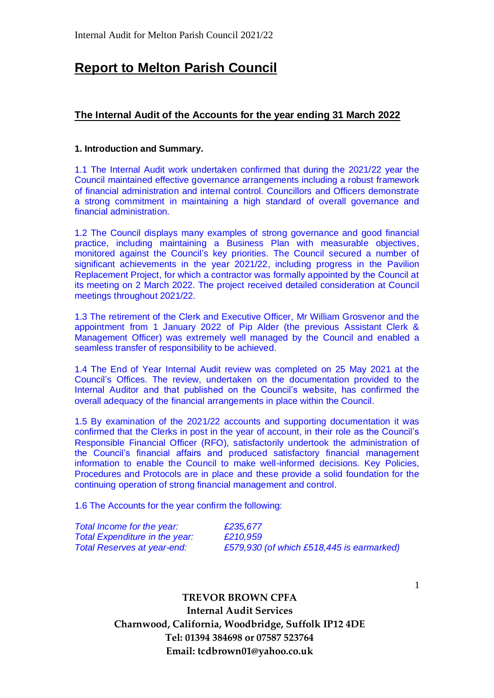# **Report to Melton Parish Council**

## **The Internal Audit of the Accounts for the year ending 31 March 2022**

## **1. Introduction and Summary.**

1.1 The Internal Audit work undertaken confirmed that during the 2021/22 year the Council maintained effective governance arrangements including a robust framework of financial administration and internal control. Councillors and Officers demonstrate a strong commitment in maintaining a high standard of overall governance and financial administration.

1.2 The Council displays many examples of strong governance and good financial practice, including maintaining a Business Plan with measurable objectives, monitored against the Council's key priorities. The Council secured a number of significant achievements in the year 2021/22, including progress in the Pavilion Replacement Project, for which a contractor was formally appointed by the Council at its meeting on 2 March 2022. The project received detailed consideration at Council meetings throughout 2021/22.

1.3 The retirement of the Clerk and Executive Officer, Mr William Grosvenor and the appointment from 1 January 2022 of Pip Alder (the previous Assistant Clerk & Management Officer) was extremely well managed by the Council and enabled a seamless transfer of responsibility to be achieved.

1.4 The End of Year Internal Audit review was completed on 25 May 2021 at the Council's Offices. The review, undertaken on the documentation provided to the Internal Auditor and that published on the Council's website, has confirmed the overall adequacy of the financial arrangements in place within the Council.

1.5 By examination of the 2021/22 accounts and supporting documentation it was confirmed that the Clerks in post in the year of account, in their role as the Council's Responsible Financial Officer (RFO), satisfactorily undertook the administration of the Council's financial affairs and produced satisfactory financial management information to enable the Council to make well-informed decisions. Key Policies, Procedures and Protocols are in place and these provide a solid foundation for the continuing operation of strong financial management and control.

1.6 The Accounts for the year confirm the following:

| Total Income for the year:         | £235,677                                  |
|------------------------------------|-------------------------------------------|
| Total Expenditure in the year:     | £210,959                                  |
| <b>Total Reserves at year-end:</b> | £579,930 (of which £518,445 is earmarked) |

**TREVOR BROWN CPFA Internal Audit Services Charnwood, California, Woodbridge, Suffolk IP12 4DE Tel: 01394 384698 or 07587 523764 Email: tcdbrown01@yahoo.co.uk**

1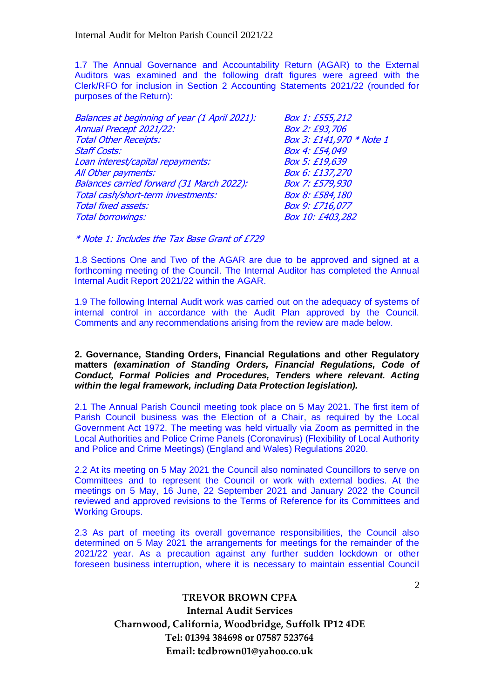1.7 The Annual Governance and Accountability Return (AGAR) to the External Auditors was examined and the following draft figures were agreed with the Clerk/RFO for inclusion in Section 2 Accounting Statements 2021/22 (rounded for purposes of the Return):

| Balances at beginning of year (1 April 2021): | Box 1: £555,212          |
|-----------------------------------------------|--------------------------|
| Annual Precept 2021/22:                       | Box 2: £93,706           |
| <b>Total Other Receipts:</b>                  | Box 3: £141,970 * Note 1 |
| <b>Staff Costs:</b>                           | Box 4: £54,049           |
| Loan interest/capital repayments:             | Box 5: £19,639           |
| All Other payments:                           | Box 6: £137,270          |
| Balances carried forward (31 March 2022):     | Box 7: £579,930          |
| Total cash/short-term investments:            | Box 8: £584,180          |
| <b>Total fixed assets:</b>                    | Box 9: £716,077          |
| <b>Total borrowings:</b>                      | Box 10: £403,282         |
|                                               |                          |

\* Note 1: Includes the Tax Base Grant of £729

1.8 Sections One and Two of the AGAR are due to be approved and signed at a forthcoming meeting of the Council. The Internal Auditor has completed the Annual Internal Audit Report 2021/22 within the AGAR.

1.9 The following Internal Audit work was carried out on the adequacy of systems of internal control in accordance with the Audit Plan approved by the Council. Comments and any recommendations arising from the review are made below.

## **2. Governance, Standing Orders, Financial Regulations and other Regulatory matters** *(examination of Standing Orders, Financial Regulations, Code of Conduct, Formal Policies and Procedures, Tenders where relevant. Acting within the legal framework, including Data Protection legislation).*

2.1 The Annual Parish Council meeting took place on 5 May 2021. The first item of Parish Council business was the Election of a Chair, as required by the Local Government Act 1972. The meeting was held virtually via Zoom as permitted in the Local Authorities and Police Crime Panels (Coronavirus) (Flexibility of Local Authority and Police and Crime Meetings) (England and Wales) Regulations 2020.

2.2 At its meeting on 5 May 2021 the Council also nominated Councillors to serve on Committees and to represent the Council or work with external bodies. At the meetings on 5 May, 16 June, 22 September 2021 and January 2022 the Council reviewed and approved revisions to the Terms of Reference for its Committees and Working Groups.

2.3 As part of meeting its overall governance responsibilities, the Council also determined on 5 May 2021 the arrangements for meetings for the remainder of the 2021/22 year. As a precaution against any further sudden lockdown or other foreseen business interruption, where it is necessary to maintain essential Council

> **TREVOR BROWN CPFA Internal Audit Services Charnwood, California, Woodbridge, Suffolk IP12 4DE Tel: 01394 384698 or 07587 523764 Email: tcdbrown01@yahoo.co.uk**

2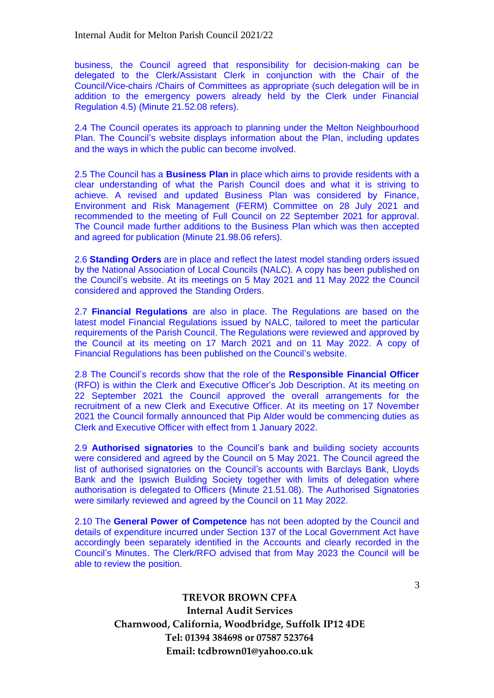business, the Council agreed that responsibility for decision-making can be delegated to the Clerk/Assistant Clerk in conjunction with the Chair of the Council/Vice-chairs /Chairs of Committees as appropriate (such delegation will be in addition to the emergency powers already held by the Clerk under Financial Regulation 4.5) (Minute 21.52.08 refers).

2.4 The Council operates its approach to planning under the Melton Neighbourhood Plan. The Council's website displays information about the Plan, including updates and the ways in which the public can become involved.

2.5 The Council has a **Business Plan** in place which aims to provide residents with a clear understanding of what the Parish Council does and what it is striving to achieve. A revised and updated Business Plan was considered by Finance, Environment and Risk Management (FERM) Committee on 28 July 2021 and recommended to the meeting of Full Council on 22 September 2021 for approval. The Council made further additions to the Business Plan which was then accepted and agreed for publication (Minute 21.98.06 refers).

2.6 **Standing Orders** are in place and reflect the latest model standing orders issued by the National Association of Local Councils (NALC). A copy has been published on the Council's website. At its meetings on 5 May 2021 and 11 May 2022 the Council considered and approved the Standing Orders.

2.7 **Financial Regulations** are also in place. The Regulations are based on the latest model Financial Regulations issued by NALC, tailored to meet the particular requirements of the Parish Council. The Regulations were reviewed and approved by the Council at its meeting on 17 March 2021 and on 11 May 2022. A copy of Financial Regulations has been published on the Council's website.

2.8 The Council's records show that the role of the **Responsible Financial Officer** (RFO) is within the Clerk and Executive Officer's Job Description. At its meeting on 22 September 2021 the Council approved the overall arrangements for the recruitment of a new Clerk and Executive Officer. At its meeting on 17 November 2021 the Council formally announced that Pip Alder would be commencing duties as Clerk and Executive Officer with effect from 1 January 2022.

2.9 **Authorised signatories** to the Council's bank and building society accounts were considered and agreed by the Council on 5 May 2021. The Council agreed the list of authorised signatories on the Council's accounts with Barclays Bank, Lloyds Bank and the Ipswich Building Society together with limits of delegation where authorisation is delegated to Officers (Minute 21.51.08). The Authorised Signatories were similarly reviewed and agreed by the Council on 11 May 2022.

2.10 The **General Power of Competence** has not been adopted by the Council and details of expenditure incurred under Section 137 of the Local Government Act have accordingly been separately identified in the Accounts and clearly recorded in the Council's Minutes. The Clerk/RFO advised that from May 2023 the Council will be able to review the position.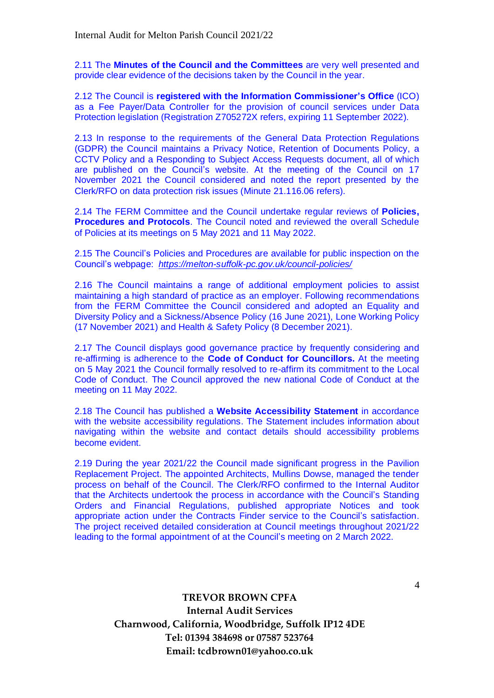2.11 The **Minutes of the Council and the Committees** are very well presented and provide clear evidence of the decisions taken by the Council in the year.

2.12 The Council is **registered with the Information Commissioner's Office** (ICO) as a Fee Payer/Data Controller for the provision of council services under Data Protection legislation (Registration Z705272X refers, expiring 11 September 2022).

2.13 In response to the requirements of the General Data Protection Regulations (GDPR) the Council maintains a Privacy Notice, Retention of Documents Policy, a CCTV Policy and a Responding to Subject Access Requests document, all of which are published on the Council's website. At the meeting of the Council on 17 November 2021 the Council considered and noted the report presented by the Clerk/RFO on data protection risk issues (Minute 21.116.06 refers).

2.14 The FERM Committee and the Council undertake regular reviews of **Policies, Procedures and Protocols**. The Council noted and reviewed the overall Schedule of Policies at its meetings on 5 May 2021 and 11 May 2022.

2.15 The Council's Policies and Procedures are available for public inspection on the Council's webpage: *<https://melton-suffolk-pc.gov.uk/council-policies/>*

2.16 The Council maintains a range of additional employment policies to assist maintaining a high standard of practice as an employer. Following recommendations from the FERM Committee the Council considered and adopted an Equality and Diversity Policy and a Sickness/Absence Policy (16 June 2021), Lone Working Policy (17 November 2021) and Health & Safety Policy (8 December 2021).

2.17 The Council displays good governance practice by frequently considering and re-affirming is adherence to the **Code of Conduct for Councillors.** At the meeting on 5 May 2021 the Council formally resolved to re-affirm its commitment to the Local Code of Conduct. The Council approved the new national Code of Conduct at the meeting on 11 May 2022.

2.18 The Council has published a **Website Accessibility Statement** in accordance with the website accessibility regulations. The Statement includes information about navigating within the website and contact details should accessibility problems become evident.

2.19 During the year 2021/22 the Council made significant progress in the Pavilion Replacement Project. The appointed Architects, Mullins Dowse, managed the tender process on behalf of the Council. The Clerk/RFO confirmed to the Internal Auditor that the Architects undertook the process in accordance with the Council's Standing Orders and Financial Regulations, published appropriate Notices and took appropriate action under the Contracts Finder service to the Council's satisfaction. The project received detailed consideration at Council meetings throughout 2021/22 leading to the formal appointment of at the Council's meeting on 2 March 2022.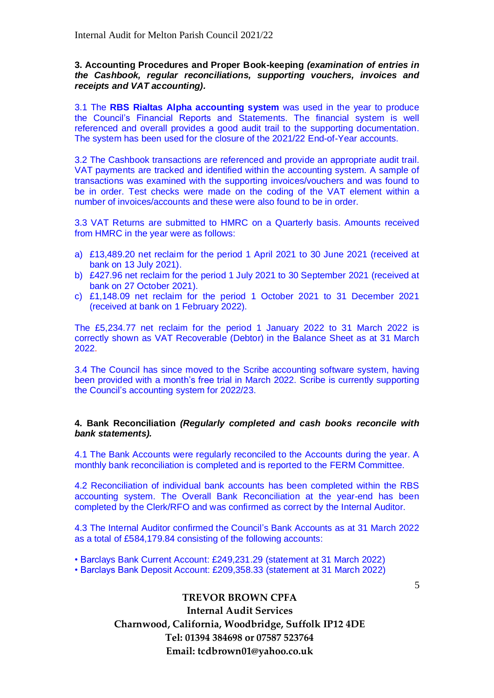## **3. Accounting Procedures and Proper Book-keeping** *(examination of entries in the Cashbook, regular reconciliations, supporting vouchers, invoices and receipts and VAT accounting).*

3.1 The **RBS Rialtas Alpha accounting system** was used in the year to produce the Council's Financial Reports and Statements. The financial system is well referenced and overall provides a good audit trail to the supporting documentation. The system has been used for the closure of the 2021/22 End-of-Year accounts.

3.2 The Cashbook transactions are referenced and provide an appropriate audit trail. VAT payments are tracked and identified within the accounting system. A sample of transactions was examined with the supporting invoices/vouchers and was found to be in order. Test checks were made on the coding of the VAT element within a number of invoices/accounts and these were also found to be in order.

3.3 VAT Returns are submitted to HMRC on a Quarterly basis. Amounts received from HMRC in the year were as follows:

- a) £13,489.20 net reclaim for the period 1 April 2021 to 30 June 2021 (received at bank on 13 July 2021).
- b) £427.96 net reclaim for the period 1 July 2021 to 30 September 2021 (received at bank on 27 October 2021).
- c) £1,148.09 net reclaim for the period 1 October 2021 to 31 December 2021 (received at bank on 1 February 2022).

The £5,234.77 net reclaim for the period 1 January 2022 to 31 March 2022 is correctly shown as VAT Recoverable (Debtor) in the Balance Sheet as at 31 March 2022.

3.4 The Council has since moved to the Scribe accounting software system, having been provided with a month's free trial in March 2022. Scribe is currently supporting the Council's accounting system for 2022/23.

## **4. Bank Reconciliation** *(Regularly completed and cash books reconcile with bank statements).*

4.1 The Bank Accounts were regularly reconciled to the Accounts during the year. A monthly bank reconciliation is completed and is reported to the FERM Committee.

4.2 Reconciliation of individual bank accounts has been completed within the RBS accounting system. The Overall Bank Reconciliation at the year-end has been completed by the Clerk/RFO and was confirmed as correct by the Internal Auditor.

4.3 The Internal Auditor confirmed the Council's Bank Accounts as at 31 March 2022 as a total of £584,179.84 consisting of the following accounts:

- Barclays Bank Current Account: £249,231.29 (statement at 31 March 2022)
- Barclays Bank Deposit Account: £209,358.33 (statement at 31 March 2022)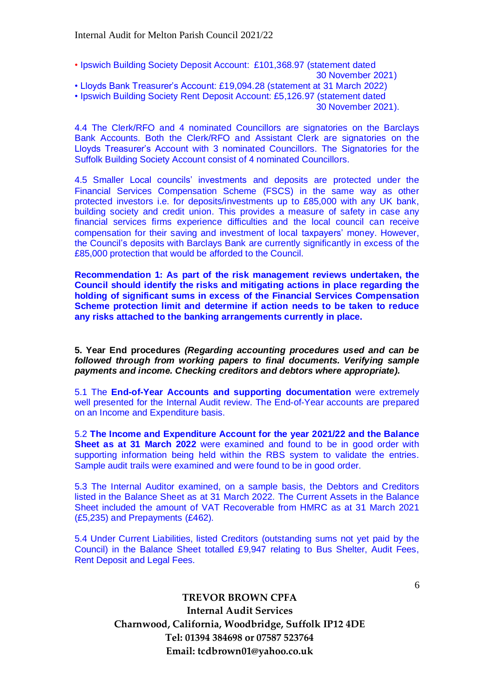- Ipswich Building Society Deposit Account: £101,368.97 (statement dated
	- 30 November 2021)
- Lloyds Bank Treasurer's Account: £19,094.28 (statement at 31 March 2022)
- Ipswich Building Society Rent Deposit Account: £5,126.97 (statement dated

4.4 The Clerk/RFO and 4 nominated Councillors are signatories on the Barclays Bank Accounts. Both the Clerk/RFO and Assistant Clerk are signatories on the Lloyds Treasurer's Account with 3 nominated Councillors. The Signatories for the Suffolk Building Society Account consist of 4 nominated Councillors.

4.5 Smaller Local councils' investments and deposits are protected under the Financial Services Compensation Scheme (FSCS) in the same way as other protected investors i.e. for deposits/investments up to £85,000 with any UK bank, building society and credit union. This provides a measure of safety in case any financial services firms experience difficulties and the local council can receive compensation for their saving and investment of local taxpayers' money. However, the Council's deposits with Barclays Bank are currently significantly in excess of the £85,000 protection that would be afforded to the Council.

**Recommendation 1: As part of the risk management reviews undertaken, the Council should identify the risks and mitigating actions in place regarding the holding of significant sums in excess of the Financial Services Compensation Scheme protection limit and determine if action needs to be taken to reduce any risks attached to the banking arrangements currently in place.**

**5. Year End procedures** *(Regarding accounting procedures used and can be followed through from working papers to final documents. Verifying sample payments and income. Checking creditors and debtors where appropriate).*

5.1 The **End-of-Year Accounts and supporting documentation** were extremely well presented for the Internal Audit review. The End-of-Year accounts are prepared on an Income and Expenditure basis.

5.2 **The Income and Expenditure Account for the year 2021/22 and the Balance Sheet as at 31 March 2022** were examined and found to be in good order with supporting information being held within the RBS system to validate the entries. Sample audit trails were examined and were found to be in good order.

5.3 The Internal Auditor examined, on a sample basis, the Debtors and Creditors listed in the Balance Sheet as at 31 March 2022. The Current Assets in the Balance Sheet included the amount of VAT Recoverable from HMRC as at 31 March 2021 (£5,235) and Prepayments (£462).

5.4 Under Current Liabilities, listed Creditors (outstanding sums not yet paid by the Council) in the Balance Sheet totalled £9,947 relating to Bus Shelter, Audit Fees, Rent Deposit and Legal Fees.

<sup>30</sup> November 2021).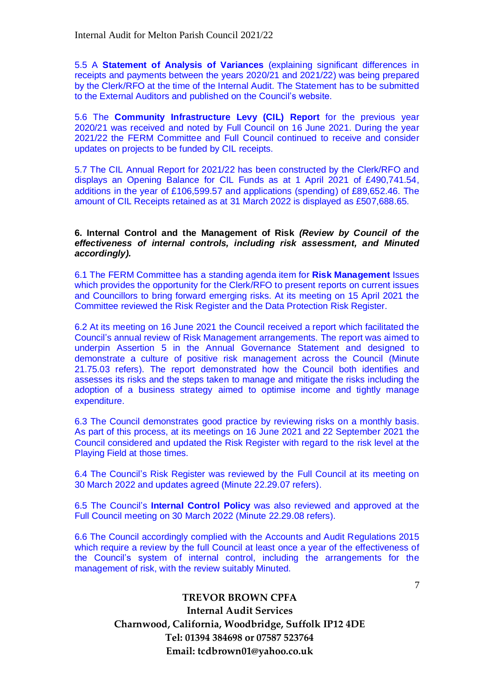5.5 A **Statement of Analysis of Variances** (explaining significant differences in receipts and payments between the years 2020/21 and 2021/22) was being prepared by the Clerk/RFO at the time of the Internal Audit. The Statement has to be submitted to the External Auditors and published on the Council's website.

5.6 The **Community Infrastructure Levy (CIL) Report** for the previous year 2020/21 was received and noted by Full Council on 16 June 2021. During the year 2021/22 the FERM Committee and Full Council continued to receive and consider updates on projects to be funded by CIL receipts.

5.7 The CIL Annual Report for 2021/22 has been constructed by the Clerk/RFO and displays an Opening Balance for CIL Funds as at 1 April 2021 of £490,741.54, additions in the year of £106,599.57 and applications (spending) of £89,652.46. The amount of CIL Receipts retained as at 31 March 2022 is displayed as £507,688.65.

### **6. Internal Control and the Management of Risk** *(Review by Council of the effectiveness of internal controls, including risk assessment, and Minuted accordingly).*

6.1 The FERM Committee has a standing agenda item for **Risk Management** Issues which provides the opportunity for the Clerk/RFO to present reports on current issues and Councillors to bring forward emerging risks. At its meeting on 15 April 2021 the Committee reviewed the Risk Register and the Data Protection Risk Register.

6.2 At its meeting on 16 June 2021 the Council received a report which facilitated the Council's annual review of Risk Management arrangements. The report was aimed to underpin Assertion 5 in the Annual Governance Statement and designed to demonstrate a culture of positive risk management across the Council (Minute 21.75.03 refers). The report demonstrated how the Council both identifies and assesses its risks and the steps taken to manage and mitigate the risks including the adoption of a business strategy aimed to optimise income and tightly manage expenditure.

6.3 The Council demonstrates good practice by reviewing risks on a monthly basis. As part of this process, at its meetings on 16 June 2021 and 22 September 2021 the Council considered and updated the Risk Register with regard to the risk level at the Playing Field at those times.

6.4 The Council's Risk Register was reviewed by the Full Council at its meeting on 30 March 2022 and updates agreed (Minute 22.29.07 refers).

6.5 The Council's **Internal Control Policy** was also reviewed and approved at the Full Council meeting on 30 March 2022 (Minute 22.29.08 refers).

6.6 The Council accordingly complied with the Accounts and Audit Regulations 2015 which require a review by the full Council at least once a year of the effectiveness of the Council's system of internal control, including the arrangements for the management of risk, with the review suitably Minuted.

> **TREVOR BROWN CPFA Internal Audit Services Charnwood, California, Woodbridge, Suffolk IP12 4DE Tel: 01394 384698 or 07587 523764 Email: tcdbrown01@yahoo.co.uk**

7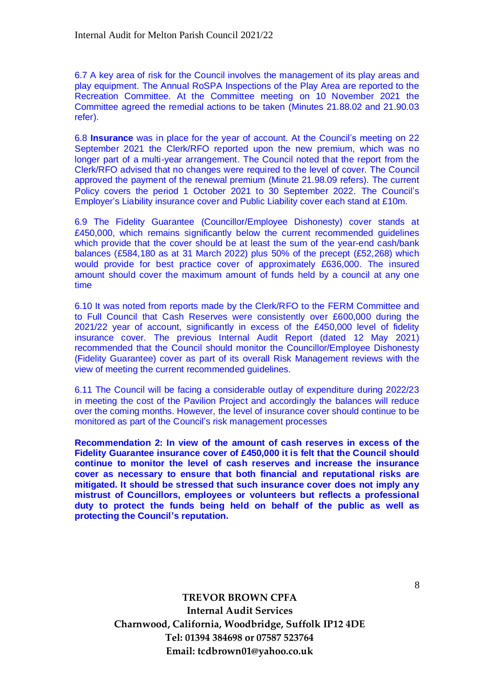6.7 A key area of risk for the Council involves the management of its play areas and play equipment. The Annual RoSPA Inspections of the Play Area are reported to the Recreation Committee. At the Committee meeting on 10 November 2021 the Committee agreed the remedial actions to be taken (Minutes 21.88.02 and 21.90.03 refer).

6.8 **Insurance** was in place for the year of account. At the Council's meeting on 22 September 2021 the Clerk/RFO reported upon the new premium, which was no longer part of a multi-year arrangement. The Council noted that the report from the Clerk/RFO advised that no changes were required to the level of cover. The Council approved the payment of the renewal premium (Minute 21.98.09 refers). The current Policy covers the period 1 October 2021 to 30 September 2022. The Council's Employer's Liability insurance cover and Public Liability cover each stand at £10m.

6.9 The Fidelity Guarantee (Councillor/Employee Dishonesty) cover stands at £450,000, which remains significantly below the current recommended guidelines which provide that the cover should be at least the sum of the year-end cash/bank balances (£584,180 as at 31 March 2022) plus 50% of the precept (£52,268) which would provide for best practice cover of approximately £636,000. The insured amount should cover the maximum amount of funds held by a council at any one time

6.10 It was noted from reports made by the Clerk/RFO to the FERM Committee and to Full Council that Cash Reserves were consistently over £600,000 during the 2021/22 year of account, significantly in excess of the £450,000 level of fidelity insurance cover. The previous Internal Audit Report (dated 12 May 2021) recommended that the Council should monitor the Councillor/Employee Dishonesty (Fidelity Guarantee) cover as part of its overall Risk Management reviews with the view of meeting the current recommended guidelines.

6.11 The Council will be facing a considerable outlay of expenditure during 2022/23 in meeting the cost of the Pavilion Project and accordingly the balances will reduce over the coming months. However, the level of insurance cover should continue to be monitored as part of the Council's risk management processes

**Recommendation 2: In view of the amount of cash reserves in excess of the Fidelity Guarantee insurance cover of £450,000 it is felt that the Council should continue to monitor the level of cash reserves and increase the insurance cover as necessary to ensure that both financial and reputational risks are mitigated. It should be stressed that such insurance cover does not imply any mistrust of Councillors, employees or volunteers but reflects a professional duty to protect the funds being held on behalf of the public as well as protecting the Council's reputation.**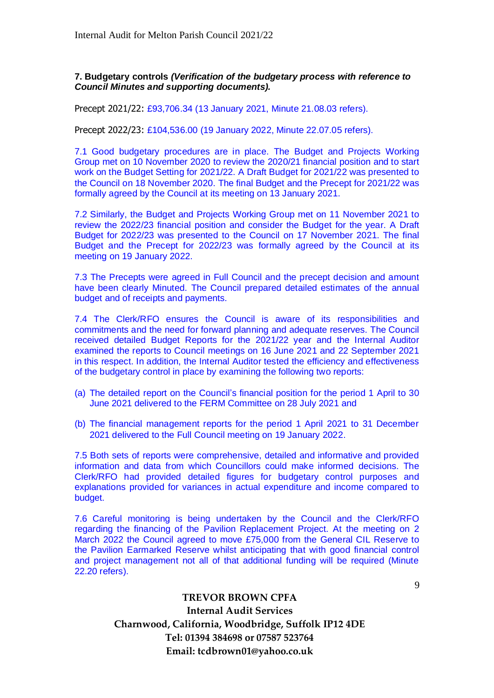## **7. Budgetary controls** *(Verification of the budgetary process with reference to Council Minutes and supporting documents).*

Precept 2021/22: £93,706.34 (13 January 2021, Minute 21.08.03 refers).

Precept 2022/23: £104,536.00 (19 January 2022, Minute 22.07.05 refers).

7.1 Good budgetary procedures are in place. The Budget and Projects Working Group met on 10 November 2020 to review the 2020/21 financial position and to start work on the Budget Setting for 2021/22. A Draft Budget for 2021/22 was presented to the Council on 18 November 2020. The final Budget and the Precept for 2021/22 was formally agreed by the Council at its meeting on 13 January 2021.

7.2 Similarly, the Budget and Projects Working Group met on 11 November 2021 to review the 2022/23 financial position and consider the Budget for the year. A Draft Budget for 2022/23 was presented to the Council on 17 November 2021. The final Budget and the Precept for 2022/23 was formally agreed by the Council at its meeting on 19 January 2022.

7.3 The Precepts were agreed in Full Council and the precept decision and amount have been clearly Minuted. The Council prepared detailed estimates of the annual budget and of receipts and payments.

7.4 The Clerk/RFO ensures the Council is aware of its responsibilities and commitments and the need for forward planning and adequate reserves. The Council received detailed Budget Reports for the 2021/22 year and the Internal Auditor examined the reports to Council meetings on 16 June 2021 and 22 September 2021 in this respect. In addition, the Internal Auditor tested the efficiency and effectiveness of the budgetary control in place by examining the following two reports:

- (a) The detailed report on the Council's financial position for the period 1 April to 30 June 2021 delivered to the FERM Committee on 28 July 2021 and
- (b) The financial management reports for the period 1 April 2021 to 31 December 2021 delivered to the Full Council meeting on 19 January 2022.

7.5 Both sets of reports were comprehensive, detailed and informative and provided information and data from which Councillors could make informed decisions. The Clerk/RFO had provided detailed figures for budgetary control purposes and explanations provided for variances in actual expenditure and income compared to budget.

7.6 Careful monitoring is being undertaken by the Council and the Clerk/RFO regarding the financing of the Pavilion Replacement Project. At the meeting on 2 March 2022 the Council agreed to move £75,000 from the General CIL Reserve to the Pavilion Earmarked Reserve whilst anticipating that with good financial control and project management not all of that additional funding will be required (Minute 22.20 refers).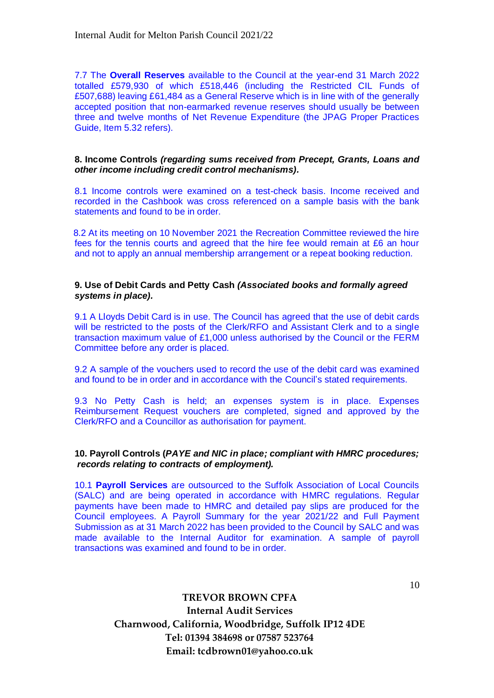7.7 The **Overall Reserves** available to the Council at the year-end 31 March 2022 totalled £579,930 of which £518,446 (including the Restricted CIL Funds of £507,688) leaving £61,484 as a General Reserve which is in line with of the generally accepted position that non-earmarked revenue reserves should usually be between three and twelve months of Net Revenue Expenditure (the JPAG Proper Practices Guide, Item 5.32 refers).

## **8. Income Controls** *(regarding sums received from Precept, Grants, Loans and other income including credit control mechanisms).*

8.1 Income controls were examined on a test-check basis. Income received and recorded in the Cashbook was cross referenced on a sample basis with the bank statements and found to be in order.

8.2 At its meeting on 10 November 2021 the Recreation Committee reviewed the hire fees for the tennis courts and agreed that the hire fee would remain at £6 an hour and not to apply an annual membership arrangement or a repeat booking reduction.

#### **9. Use of Debit Cards and Petty Cash** *(Associated books and formally agreed systems in place).*

9.1 A Lloyds Debit Card is in use. The Council has agreed that the use of debit cards will be restricted to the posts of the Clerk/RFO and Assistant Clerk and to a single transaction maximum value of £1,000 unless authorised by the Council or the FERM Committee before any order is placed.

9.2 A sample of the vouchers used to record the use of the debit card was examined and found to be in order and in accordance with the Council's stated requirements.

9.3 No Petty Cash is held; an expenses system is in place. Expenses Reimbursement Request vouchers are completed, signed and approved by the Clerk/RFO and a Councillor as authorisation for payment.

#### **10. Payroll Controls (***PAYE and NIC in place; compliant with HMRC procedures; records relating to contracts of employment).*

10.1 **Payroll Services** are outsourced to the Suffolk Association of Local Councils (SALC) and are being operated in accordance with HMRC regulations. Regular payments have been made to HMRC and detailed pay slips are produced for the Council employees. A Payroll Summary for the year 2021/22 and Full Payment Submission as at 31 March 2022 has been provided to the Council by SALC and was made available to the Internal Auditor for examination. A sample of payroll transactions was examined and found to be in order.

10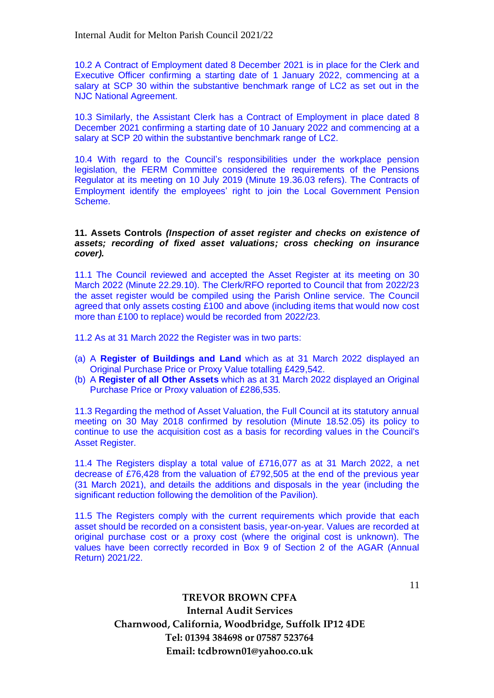10.2 A Contract of Employment dated 8 December 2021 is in place for the Clerk and Executive Officer confirming a starting date of 1 January 2022, commencing at a salary at SCP 30 within the substantive benchmark range of LC2 as set out in the NJC National Agreement.

10.3 Similarly, the Assistant Clerk has a Contract of Employment in place dated 8 December 2021 confirming a starting date of 10 January 2022 and commencing at a salary at SCP 20 within the substantive benchmark range of LC2.

10.4 With regard to the Council's responsibilities under the workplace pension legislation, the FERM Committee considered the requirements of the Pensions Regulator at its meeting on 10 July 2019 (Minute 19.36.03 refers). The Contracts of Employment identify the employees' right to join the Local Government Pension Scheme.

## **11. Assets Controls** *(Inspection of asset register and checks on existence of assets; recording of fixed asset valuations; cross checking on insurance cover).*

11.1 The Council reviewed and accepted the Asset Register at its meeting on 30 March 2022 (Minute 22.29.10). The Clerk/RFO reported to Council that from 2022/23 the asset register would be compiled using the Parish Online service. The Council agreed that only assets costing £100 and above (including items that would now cost more than £100 to replace) would be recorded from 2022/23.

11.2 As at 31 March 2022 the Register was in two parts:

- (a) A **Register of Buildings and Land** which as at 31 March 2022 displayed an Original Purchase Price or Proxy Value totalling £429,542.
- (b) A **Register of all Other Assets** which as at 31 March 2022 displayed an Original Purchase Price or Proxy valuation of £286,535.

11.3 Regarding the method of Asset Valuation, the Full Council at its statutory annual meeting on 30 May 2018 confirmed by resolution (Minute 18.52.05) its policy to continue to use the acquisition cost as a basis for recording values in the Council's Asset Register.

11.4 The Registers display a total value of £716,077 as at 31 March 2022, a net decrease of £76,428 from the valuation of £792,505 at the end of the previous year (31 March 2021), and details the additions and disposals in the year (including the significant reduction following the demolition of the Pavilion).

11.5 The Registers comply with the current requirements which provide that each asset should be recorded on a consistent basis, year-on-year. Values are recorded at original purchase cost or a proxy cost (where the original cost is unknown). The values have been correctly recorded in Box 9 of Section 2 of the AGAR (Annual Return) 2021/22.

11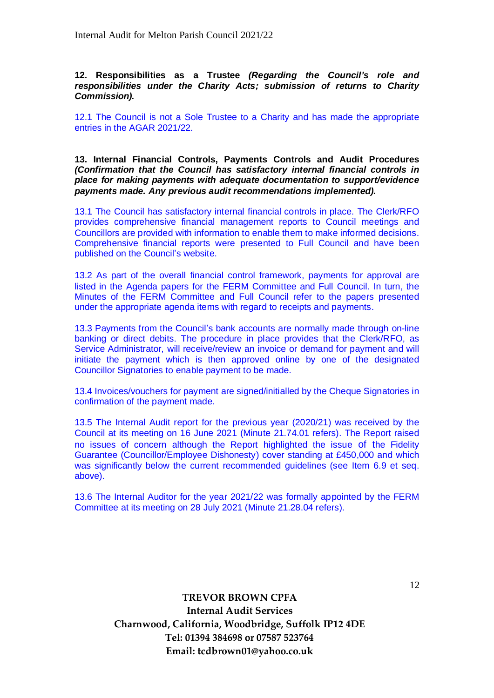**12. Responsibilities as a Trustee** *(Regarding the Council's role and responsibilities under the Charity Acts; submission of returns to Charity Commission).*

12.1 The Council is not a Sole Trustee to a Charity and has made the appropriate entries in the AGAR 2021/22.

**13. Internal Financial Controls, Payments Controls and Audit Procedures**  *(Confirmation that the Council has satisfactory internal financial controls in place for making payments with adequate documentation to support/evidence payments made. Any previous audit recommendations implemented).*

13.1 The Council has satisfactory internal financial controls in place. The Clerk/RFO provides comprehensive financial management reports to Council meetings and Councillors are provided with information to enable them to make informed decisions. Comprehensive financial reports were presented to Full Council and have been published on the Council's website.

13.2 As part of the overall financial control framework, payments for approval are listed in the Agenda papers for the FERM Committee and Full Council. In turn, the Minutes of the FERM Committee and Full Council refer to the papers presented under the appropriate agenda items with regard to receipts and payments.

13.3 Payments from the Council's bank accounts are normally made through on-line banking or direct debits. The procedure in place provides that the Clerk/RFO, as Service Administrator, will receive/review an invoice or demand for payment and will initiate the payment which is then approved online by one of the designated Councillor Signatories to enable payment to be made.

13.4 Invoices/vouchers for payment are signed/initialled by the Cheque Signatories in confirmation of the payment made.

13.5 The Internal Audit report for the previous year (2020/21) was received by the Council at its meeting on 16 June 2021 (Minute 21.74.01 refers). The Report raised no issues of concern although the Report highlighted the issue of the Fidelity Guarantee (Councillor/Employee Dishonesty) cover standing at £450,000 and which was significantly below the current recommended guidelines (see Item 6.9 et seq. above).

13.6 The Internal Auditor for the year 2021/22 was formally appointed by the FERM Committee at its meeting on 28 July 2021 (Minute 21.28.04 refers).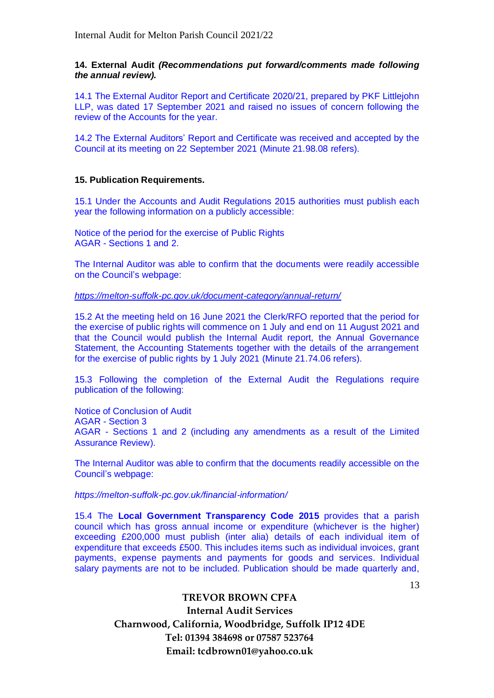**14. External Audit** *(Recommendations put forward/comments made following the annual review).*

14.1 The External Auditor Report and Certificate 2020/21, prepared by PKF Littlejohn LLP, was dated 17 September 2021 and raised no issues of concern following the review of the Accounts for the year.

14.2 The External Auditors' Report and Certificate was received and accepted by the Council at its meeting on 22 September 2021 (Minute 21.98.08 refers).

## **15. Publication Requirements.**

15.1 Under the Accounts and Audit Regulations 2015 authorities must publish each year the following information on a publicly accessible:

Notice of the period for the exercise of Public Rights AGAR - Sections 1 and 2.

The Internal Auditor was able to confirm that the documents were readily accessible on the Council's webpage:

*<https://melton-suffolk-pc.gov.uk/document-category/annual-return/>*

15.2 At the meeting held on 16 June 2021 the Clerk/RFO reported that the period for the exercise of public rights will commence on 1 July and end on 11 August 2021 and that the Council would publish the Internal Audit report, the Annual Governance Statement, the Accounting Statements together with the details of the arrangement for the exercise of public rights by 1 July 2021 (Minute 21.74.06 refers).

15.3 Following the completion of the External Audit the Regulations require publication of the following:

Notice of Conclusion of Audit AGAR - Section 3 AGAR - Sections 1 and 2 (including any amendments as a result of the Limited Assurance Review).

The Internal Auditor was able to confirm that the documents readily accessible on the Council's webpage:

*https://melton-suffolk-pc.gov.uk/financial-information/*

15.4 The **Local Government Transparency Code 2015** provides that a parish council which has gross annual income or expenditure (whichever is the higher) exceeding £200,000 must publish (inter alia) details of each individual item of expenditure that exceeds £500. This includes items such as individual invoices, grant payments, expense payments and payments for goods and services. Individual salary payments are not to be included. Publication should be made quarterly and,

13